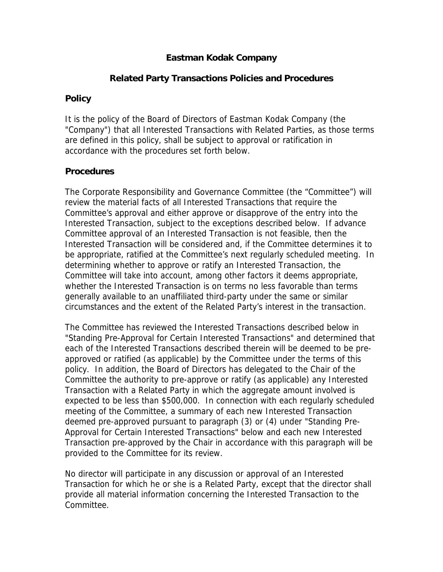### **Eastman Kodak Company**

#### **Related Party Transactions Policies and Procedures**

#### **Policy**

It is the policy of the Board of Directors of Eastman Kodak Company (the "Company") that all Interested Transactions with Related Parties, as those terms are defined in this policy, shall be subject to approval or ratification in accordance with the procedures set forth below.

#### **Procedures**

The Corporate Responsibility and Governance Committee (the "Committee") will review the material facts of all Interested Transactions that require the Committee's approval and either approve or disapprove of the entry into the Interested Transaction, subject to the exceptions described below. If advance Committee approval of an Interested Transaction is not feasible, then the Interested Transaction will be considered and, if the Committee determines it to be appropriate, ratified at the Committee's next regularly scheduled meeting. In determining whether to approve or ratify an Interested Transaction, the Committee will take into account, among other factors it deems appropriate, whether the Interested Transaction is on terms no less favorable than terms generally available to an unaffiliated third-party under the same or similar circumstances and the extent of the Related Party's interest in the transaction.

The Committee has reviewed the Interested Transactions described below in "Standing Pre-Approval for Certain Interested Transactions" and determined that each of the Interested Transactions described therein will be deemed to be preapproved or ratified (as applicable) by the Committee under the terms of this policy. In addition, the Board of Directors has delegated to the Chair of the Committee the authority to pre-approve or ratify (as applicable) any Interested Transaction with a Related Party in which the aggregate amount involved is expected to be less than \$500,000. In connection with each regularly scheduled meeting of the Committee, a summary of each new Interested Transaction deemed pre-approved pursuant to paragraph (3) or (4) under "Standing Pre-Approval for Certain Interested Transactions" below and each new Interested Transaction pre-approved by the Chair in accordance with this paragraph will be provided to the Committee for its review.

No director will participate in any discussion or approval of an Interested Transaction for which he or she is a Related Party, except that the director shall provide all material information concerning the Interested Transaction to the Committee.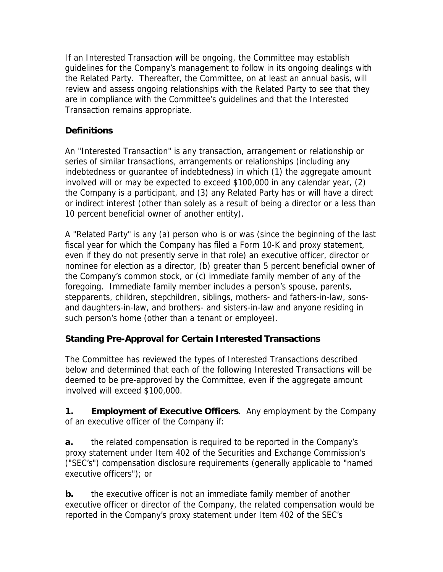If an Interested Transaction will be ongoing, the Committee may establish guidelines for the Company's management to follow in its ongoing dealings with the Related Party. Thereafter, the Committee, on at least an annual basis, will review and assess ongoing relationships with the Related Party to see that they are in compliance with the Committee's guidelines and that the Interested Transaction remains appropriate.

# **Definitions**

An "Interested Transaction" is any transaction, arrangement or relationship or series of similar transactions, arrangements or relationships (including any indebtedness or guarantee of indebtedness) in which (1) the aggregate amount involved will or may be expected to exceed \$100,000 in any calendar year, (2) the Company is a participant, and (3) any Related Party has or will have a direct or indirect interest (other than solely as a result of being a director or a less than 10 percent beneficial owner of another entity).

A "Related Party" is any (a) person who is or was (since the beginning of the last fiscal year for which the Company has filed a Form 10-K and proxy statement, even if they do not presently serve in that role) an executive officer, director or nominee for election as a director, (b) greater than 5 percent beneficial owner of the Company's common stock, or (c) immediate family member of any of the foregoing. Immediate family member includes a person's spouse, parents, stepparents, children, stepchildren, siblings, mothers- and fathers-in-law, sonsand daughters-in-law, and brothers- and sisters-in-law and anyone residing in such person's home (other than a tenant or employee).

## **Standing Pre-Approval for Certain Interested Transactions**

The Committee has reviewed the types of Interested Transactions described below and determined that each of the following Interested Transactions will be deemed to be pre-approved by the Committee, even if the aggregate amount involved will exceed \$100,000.

**1. Employment of Executive Officers**. Any employment by the Company of an executive officer of the Company if:

**a.** the related compensation is required to be reported in the Company's proxy statement under Item 402 of the Securities and Exchange Commission's ("SEC's") compensation disclosure requirements (generally applicable to "named executive officers"); or

**b.** the executive officer is not an immediate family member of another executive officer or director of the Company, the related compensation would be reported in the Company's proxy statement under Item 402 of the SEC's